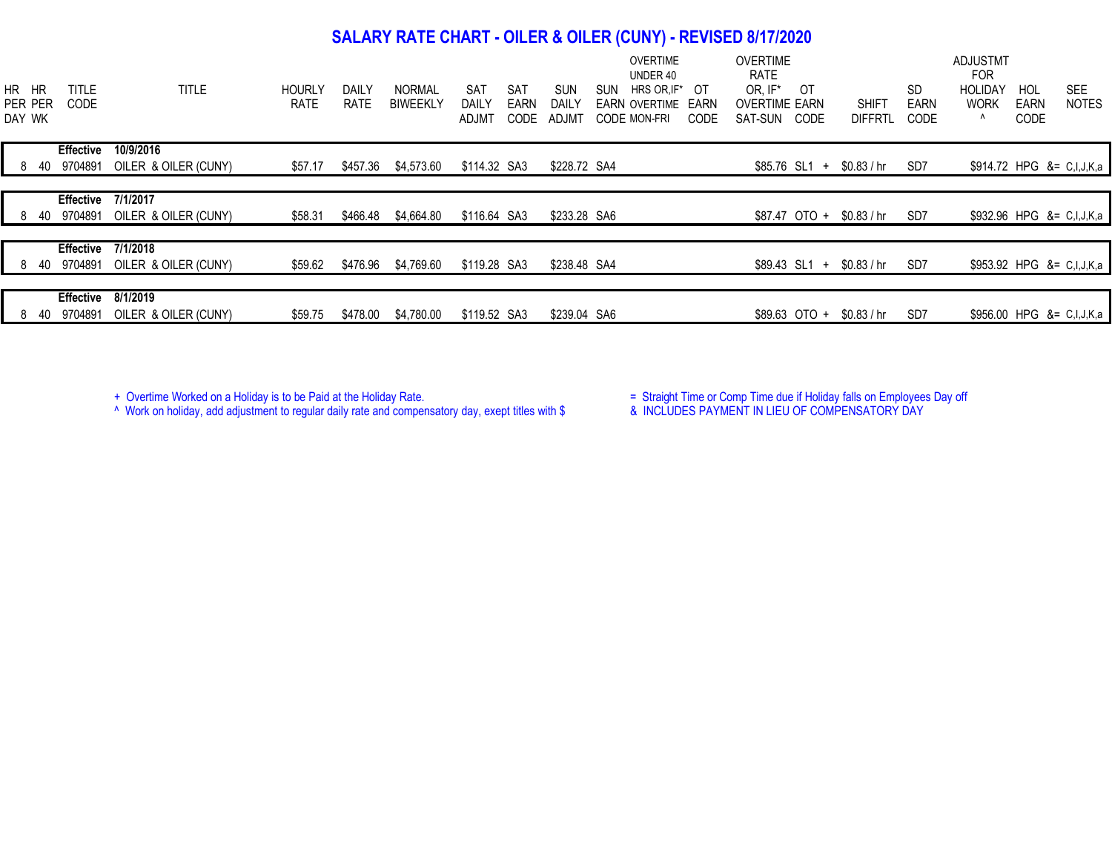## **SALARY RATE CHART - OILER & OILER (CUNY) - REVISED 8/17/2020**

| HR HR<br>PER PER<br>DAY WK | <b>TITLE</b><br>CODE | <b>TITLE</b>         | <b>HOURLY</b><br><b>RATE</b> | <b>DAILY</b><br><b>RATE</b> | <b>NORMAL</b><br><b>BIWEEKLY</b> | <b>SAT</b><br>SAT<br>DAILY<br>EARN<br>CODE<br>ADJMT | <b>SUN</b><br>DAILY<br>ADJMT | <b>OVERTIME</b><br>UNDER 40<br><b>SUN</b><br>OT<br>HRS OR, IF*<br><b>FARN OVERTIME</b><br>EARN<br><b>CODE MON-FRI</b><br>CODE | <b>OVERTIME</b><br><b>RATE</b><br>OR. IF*<br>OT<br><b>OVERTIME EARN</b><br>SAT-SUN<br>CODE | <b>SHIFT</b><br><b>DIFFRTL</b> | SD<br>EARN<br>CODE | <b>ADJUSTMT</b><br><b>FOR</b><br><b>HOLIDAY</b><br><b>WORK</b><br>Λ | HOL<br><b>EARN</b><br>CODE | <b>SEE</b><br><b>NOTES</b> |
|----------------------------|----------------------|----------------------|------------------------------|-----------------------------|----------------------------------|-----------------------------------------------------|------------------------------|-------------------------------------------------------------------------------------------------------------------------------|--------------------------------------------------------------------------------------------|--------------------------------|--------------------|---------------------------------------------------------------------|----------------------------|----------------------------|
|                            | <b>Effective</b>     | 10/9/2016            |                              |                             |                                  |                                                     |                              |                                                                                                                               |                                                                                            |                                |                    |                                                                     |                            |                            |
|                            | 8 40 9704891         | OILER & OILER (CUNY) | \$57.17                      | \$457.36                    | \$4,573.60                       | \$114.32 SA3                                        | \$228.72 SA4                 |                                                                                                                               | \$85.76 SL1 +                                                                              | \$0.83 / hr                    | SD7                |                                                                     |                            | \$914.72 HPG &= C,I,J,K,a  |
|                            |                      |                      |                              |                             |                                  |                                                     |                              |                                                                                                                               |                                                                                            |                                |                    |                                                                     |                            |                            |
|                            | Effective            | 7/1/2017             |                              |                             |                                  |                                                     |                              |                                                                                                                               |                                                                                            |                                |                    |                                                                     |                            |                            |
| 840                        | 9704891              | OILER & OILER (CUNY) | \$58.31                      | \$466.48                    | \$4,664.80                       | \$116.64 SA3                                        | \$233.28 SA6                 |                                                                                                                               | \$87.47 OTO +                                                                              | \$0.83 / hr                    | SD7                |                                                                     |                            | \$932.96 HPG &= C,I,J,K,a  |
|                            |                      |                      |                              |                             |                                  |                                                     |                              |                                                                                                                               |                                                                                            |                                |                    |                                                                     |                            |                            |
|                            | <b>Effective</b>     | 7/1/2018             |                              |                             |                                  |                                                     |                              |                                                                                                                               |                                                                                            |                                |                    |                                                                     |                            |                            |
| 840                        | 9704891              | OILER & OILER (CUNY) | \$59.62                      | \$476.96                    | \$4,769.60                       | \$119.28 SA3                                        | \$238.48 SA4                 |                                                                                                                               | $$89.43$ SL1 +                                                                             | \$0.83 / hr                    | SD <sub>7</sub>    |                                                                     |                            | \$953.92 HPG &= C,I,J,K,a  |
|                            |                      |                      |                              |                             |                                  |                                                     |                              |                                                                                                                               |                                                                                            |                                |                    |                                                                     |                            |                            |
|                            | <b>Effective</b>     | 8/1/2019             |                              |                             |                                  |                                                     |                              |                                                                                                                               |                                                                                            |                                |                    |                                                                     |                            |                            |
| 840                        | 9704891              | OILER & OILER (CUNY) | \$59.75                      | \$478.00                    | \$4,780.00                       | \$119.52 SA3                                        | \$239.04 SA6                 |                                                                                                                               | \$89.63 OTO +                                                                              | \$0.83 / hr                    | SD7                |                                                                     |                            | \$956.00 HPG &= C,I,J,K,a  |

^ Work on holiday, add adjustment to regular daily rate and compensatory day, exept titles with \$ & INCLUDES PAYMENT IN LIEU OF COMPENSATORY DAY

+ Overtime Worked on a Holiday is to be Paid at the Holiday Rate.  $\blacksquare$  Straight Time or Comp Time due if Holiday falls on Employees Day off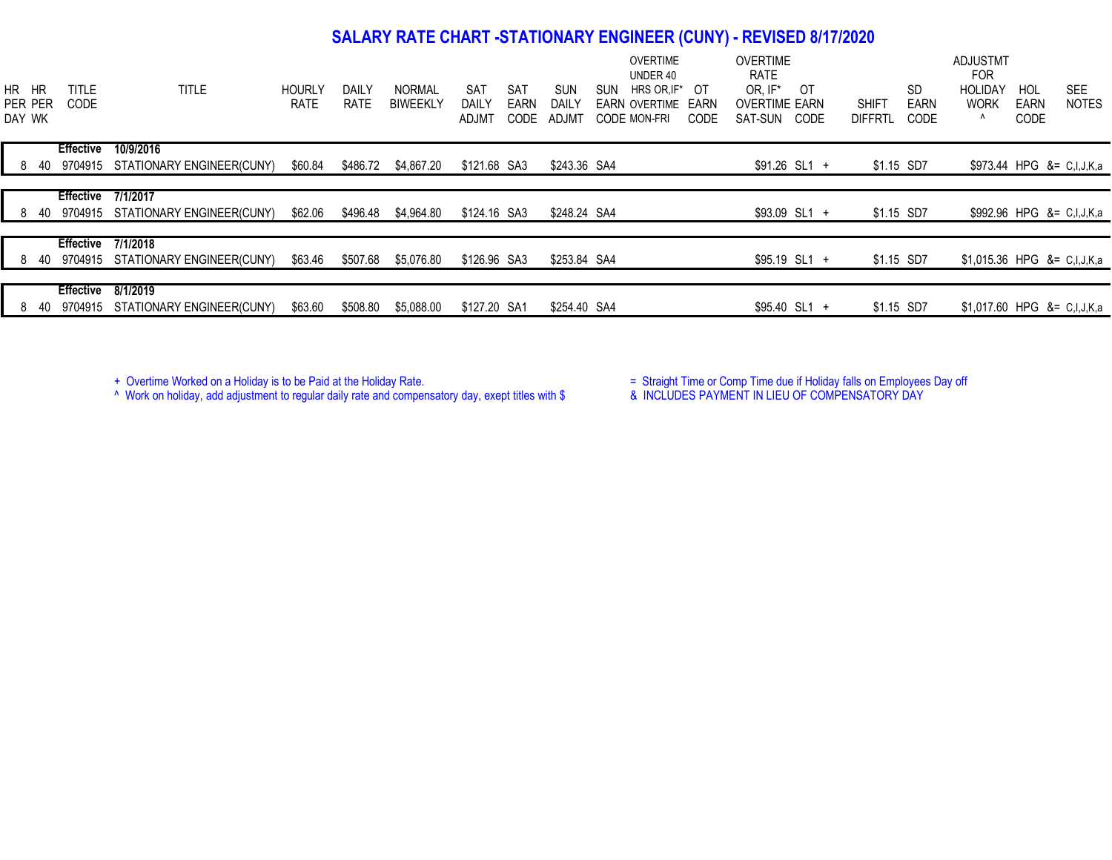## **SALARY RATE CHART -STATIONARY ENGINEER (CUNY) - REVISED 8/17/2020**

| HR HR<br>DAY WK | PER PER | <b>TITLE</b><br><b>CODE</b> | <b>TITLE</b>                           | <b>HOURLY</b><br><b>RATE</b> | DAILY<br><b>RATE</b> | <b>NORMAL</b><br><b>BIWEEKLY</b> | SAT<br>DAILY<br><b>ADJM1</b> | SAT<br><b>EARN</b><br><b>CODE</b> | <b>SUN</b><br>DAILY<br>ADJM1 | <b>OVERTIME</b><br>UNDER 40<br>SUN<br>HRS OR.IF*<br>OT<br><b>EARN OVERTIME</b><br>EARN<br>CODE<br><b>CODE MON-FRI</b> | <b>OVERTIME</b><br><b>RATE</b><br>OR. IF*<br><b>OVERTIME EARN</b><br>SAT-SUN | OT<br>CODE     | <b>SHIFT</b><br><b>DIFFRTL</b> | <b>SD</b><br><b>EARN</b><br>CODE | ADJUSTMT<br><b>FOR</b><br><b>HOLIDAY</b><br><b>WORK</b><br>Λ | HOL<br><b>EARN</b><br>CODE | <b>SEE</b><br><b>NOTES</b> |
|-----------------|---------|-----------------------------|----------------------------------------|------------------------------|----------------------|----------------------------------|------------------------------|-----------------------------------|------------------------------|-----------------------------------------------------------------------------------------------------------------------|------------------------------------------------------------------------------|----------------|--------------------------------|----------------------------------|--------------------------------------------------------------|----------------------------|----------------------------|
|                 |         | <b>Effective</b>            | 10/9/2016                              |                              |                      |                                  |                              |                                   |                              |                                                                                                                       |                                                                              |                |                                |                                  |                                                              |                            |                            |
|                 | 840     |                             | 9704915 STATIONARY ENGINEER(CUNY)      | \$60.84                      | \$486.72             | \$4,867.20                       | \$121.68 SA3                 |                                   | \$243.36 SA4                 |                                                                                                                       |                                                                              | $$91.26$ SL1 + | \$1.15 SD7                     |                                  |                                                              |                            | \$973.44 HPG &= C,I,J,K,a  |
|                 |         |                             |                                        |                              |                      |                                  |                              |                                   |                              |                                                                                                                       |                                                                              |                |                                |                                  |                                                              |                            |                            |
|                 |         | <b>Effective 7/1/2017</b>   |                                        |                              |                      |                                  |                              |                                   |                              |                                                                                                                       |                                                                              |                |                                |                                  |                                                              |                            |                            |
|                 |         |                             |                                        |                              |                      |                                  |                              |                                   |                              |                                                                                                                       |                                                                              |                |                                |                                  |                                                              |                            |                            |
|                 | 840     |                             | 9704915 STATIONARY ENGINEER(CUNY)      | \$62.06                      | \$496.48             | \$4,964.80                       | \$124.16 SA3                 |                                   | \$248.24 SA4                 |                                                                                                                       |                                                                              | $$93.09$ SL1 + | \$1.15 SD7                     |                                  | \$992.96 HPG &= C,I,J,K,a                                    |                            |                            |
|                 |         |                             |                                        |                              |                      |                                  |                              |                                   |                              |                                                                                                                       |                                                                              |                |                                |                                  |                                                              |                            |                            |
|                 |         | <b>Effective</b>            | 7/1/2018                               |                              |                      |                                  |                              |                                   |                              |                                                                                                                       |                                                                              |                |                                |                                  |                                                              |                            |                            |
|                 |         |                             | 8 40 9704915 STATIONARY ENGINEER(CUNY) | \$63.46                      | \$507.68             | \$5,076.80                       | \$126.96 SA3                 |                                   | \$253.84 SA4                 |                                                                                                                       |                                                                              | $$95.19$ SL1 + | \$1.15 SD7                     |                                  | \$1,015.36 HPG &= C,I,J,K,a                                  |                            |                            |
|                 |         |                             |                                        |                              |                      |                                  |                              |                                   |                              |                                                                                                                       |                                                                              |                |                                |                                  |                                                              |                            |                            |
|                 | 8 40    | <b>Effective</b><br>9704915 | 8/1/2019<br>STATIONARY ENGINEER(CUNY)  | \$63.60                      | \$508.80             | \$5,088.00                       | \$127.20 SA1                 |                                   | \$254.40 SA4                 |                                                                                                                       |                                                                              | $$95.40$ SL1 + | \$1.15 SD7                     |                                  | \$1,017.60 HPG &= C,I,J,K,a                                  |                            |                            |

^ Work on holiday, add adjustment to regular daily rate and compensatory day, exept titles with \$ & INCLUDES PAYMENT IN LIEU OF COMPENSATORY DAY

+ Overtime Worked on a Holiday is to be Paid at the Holiday Rate. The Straight Time or Comp Time due if Holiday falls on Employees Day off +